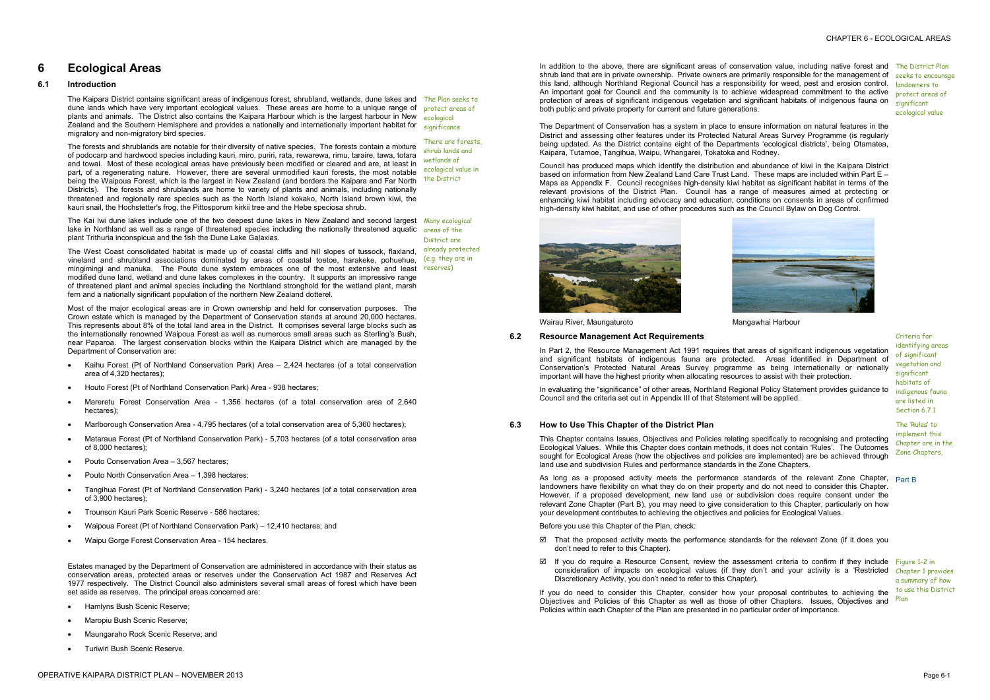

# **6 Ecological Areas**

# **6.1 Introduction**

The Kaipara District contains significant areas of indigenous forest, shrubland, wetlands, dune lakes and The Plan seeks to dune lands which have very important ecological values. These areas are home to a unique range of protect areas of plants and animals. The District also contains the Kaipara Harbour which is the largest harbour in New Zealand and the Southern Hemisphere and provides a nationally and internationally important habitat for significance migratory and non-migratory bird species.

The Kai Iwi dune lakes include one of the two deepest dune lakes in New Zealand and second largest Many ecological lake in Northland as well as a range of threatened species including the nationally threatened aquatic areas of the plant Trithuria inconspicua and the fish the Dune Lake Galaxias.

The forests and shrublands are notable for their diversity of native species. The forests contain a mixture of podocarp and hardwood species including kauri, miro, puriri, rata, rewarewa, rimu, taraire, tawa, totara and towai. Most of these ecological areas have previously been modified or cleared and are, at least in part, of a regenerating nature. However, there are several unmodified kauri forests, the most notable being the Waipoua Forest, which is the largest in New Zealand (and borders the Kaipara and Far North Districts). The forests and shrublands are home to variety of plants and animals, including nationally threatened and regionally rare species such as the North Island kokako, North Island brown kiwi, the kauri snail, the Hochstetter's frog, the Pittosporum kirkii tree and the Hebe speciosa shrub.

ecological

- · Kaihu Forest (Pt of Northland Conservation Park) Area 2,424 hectares (of a total conservation area of 4,320 hectares);
- · Houto Forest (Pt of Northland Conservation Park) Area 938 hectares;
- · Mareretu Forest Conservation Area 1,356 hectares (of a total conservation area of 2,640 hectares);
- · Marlborough Conservation Area 4,795 hectares (of a total conservation area of 5,360 hectares);
- Mataraua Forest (Pt of Northland Conservation Park) 5,703 hectares (of a total conservation area of 8,000 hectares);
- Pouto Conservation Area 3,567 hectares;
- Pouto North Conservation Area 1,398 hectares;
- · Tangihua Forest (Pt of Northland Conservation Park) 3,240 hectares (of a total conservation area of 3,900 hectares);
- · Trounson Kauri Park Scenic Reserve 586 hectares;
- · Waipoua Forest (Pt of Northland Conservation Park) 12,410 hectares; and
- Waipu Gorge Forest Conservation Area 154 hectares.

There are forests, shrub lands and wetlands of ecological value in the District

The West Coast consolidated habitat is made up of coastal cliffs and hill slopes of tussock, flaxland, vineland and shrubland associations dominated by areas of coastal toetoe, harakeke, pohuehue, <sup>(e.g. they are in</sup> mingimingi and manuka. The Pouto dune system embraces one of the most extensive and least reserves) modified dune land, wetland and dune lakes complexes in the country. It supports an impressive range of threatened plant and animal species including the Northland stronghold for the wetland plant, marsh fern and a nationally significant population of the northern New Zealand dotterel.

- · Hamlyns Bush Scenic Reserve;
- Maropiu Bush Scenic Reserve;
- Maungaraho Rock Scenic Reserve; and
- **Turiwiri Bush Scenic Reserve.**

In addition to the above, there are significant areas of conservation value, including native forest and The District Plan shrub land that are in private ownership. Private owners are primarily responsible for the management of this land, although Northland Regional Council has a responsibility for weed, pest and erosion control. An important goal for Council and the community is to achieve widespread commitment to the active protection of areas of significant indigenous vegetation and significant habitats of indigenous fauna on both public and private property for current and future generations.

Most of the major ecological areas are in Crown ownership and held for conservation purposes. The Crown estate which is managed by the Department of Conservation stands at around 20,000 hectares. This represents about 8% of the total land area in the District. It comprises several large blocks such as the internationally renowned Waipoua Forest as well as numerous small areas such as Sterling's Bush, near Paparoa. The largest conservation blocks within the Kaipara District which are managed by the Department of Conservation are:

District are already protected

> As long as a proposed activity meets the performance standards of the relevant Zone Chapter, Part B landowners have flexibility on what they do on their property and do not need to consider this Chapter. However, if a proposed development, new land use or subdivision does require consent under the relevant Zone Chapter (Part B), you may need to give consideration to this Chapter, particularly on how your development contributes to achieving the objectives and policies for Ecological Values.

Estates managed by the Department of Conservation are administered in accordance with their status as conservation areas, protected areas or reserves under the Conservation Act 1987 and Reserves Act 1977 respectively. The District Council also administers several small areas of forest which have been set aside as reserves. The principal areas concerned are:

- $\boxtimes$  That the proposed activity meets the performance standards for the relevant Zone (if it does you don't need to refer to this Chapter).
- **⊠** If you do require a Resource Consent, review the assessment criteria to confirm if they include Figure 1-2 in consideration of impacts on ecological values (if they don't and your activity is a 'Restricted Chapter 1 provides Discretionary Activity, you don't need to refer to this Chapter).

seeks to encourage landowners to protect areas of significant ecological value

The Department of Conservation has a system in place to ensure information on natural features in the District and assessing other features under its Protected Natural Areas Survey Programme (is regularly being updated. As the District contains eight of the Departments 'ecological districts', being Otamatea, Kaipara, Tutamoe, Tangihua, Waipu, Whangarei, Tokatoka and Rodney.

Council has produced maps which identify the distribution and abundance of kiwi in the Kaipara District based on information from New Zealand Land Care Trust Land. These maps are included within Part E – Maps as Appendix F. Council recognises high-density kiwi habitat as significant habitat in terms of the relevant provisions of the District Plan. Council has a range of measures aimed at protecting or enhancing kiwi habitat including advocacy and education, conditions on consents in areas of confirmed high-density kiwi habitat, and use of other procedures such as the Council Bylaw on Dog Control.



Wairau River, Maungaturoto **Mangawhai Harbour** Mangawhai Harbour

# **6.2 Resource Management Act Requirements COVID-100 Constructs** *Criteria for*

identifying areas of significant vegetation and significant habitats of indigenous fauna are listed in Section 6.7.1

In Part 2, the Resource Management Act 1991 requires that areas of significant indigenous vegetation and significant habitats of indigenous fauna are protected. Areas identified in Department of Conservation's Protected Natural Areas Survey programme as being internationally or nationally important will have the highest priority when allocating resources to assist with their protection.

In evaluating the "significance" of other areas, Northland Regional Policy Statement provides guidance to Council and the criteria set out in Appendix III of that Statement will be applied.

### **6.3 How to Use This Chapter of the District Plan**

This Chapter contains Issues, Objectives and Policies relating specifically to recognising and protecting Ecological Values. While this Chapter does contain methods, it does not contain 'Rules'. The Outcomes sought for Ecological Areas (how the objectives and policies are implemented) are be achieved through land use and subdivision Rules and performance standards in the Zone Chapters.

Before you use this Chapter of the Plan, check:

If you do need to consider this Chapter, consider how your proposal contributes to achieving the Objectives and Policies of this Chapter as well as those of other Chapters. Issues, Objectives and Policies within each Chapter of the Plan are presented in no particular order of importance.

The 'Rules' to implement this Chapter are in the Zone Chapters,

a summary of how to use this District Plan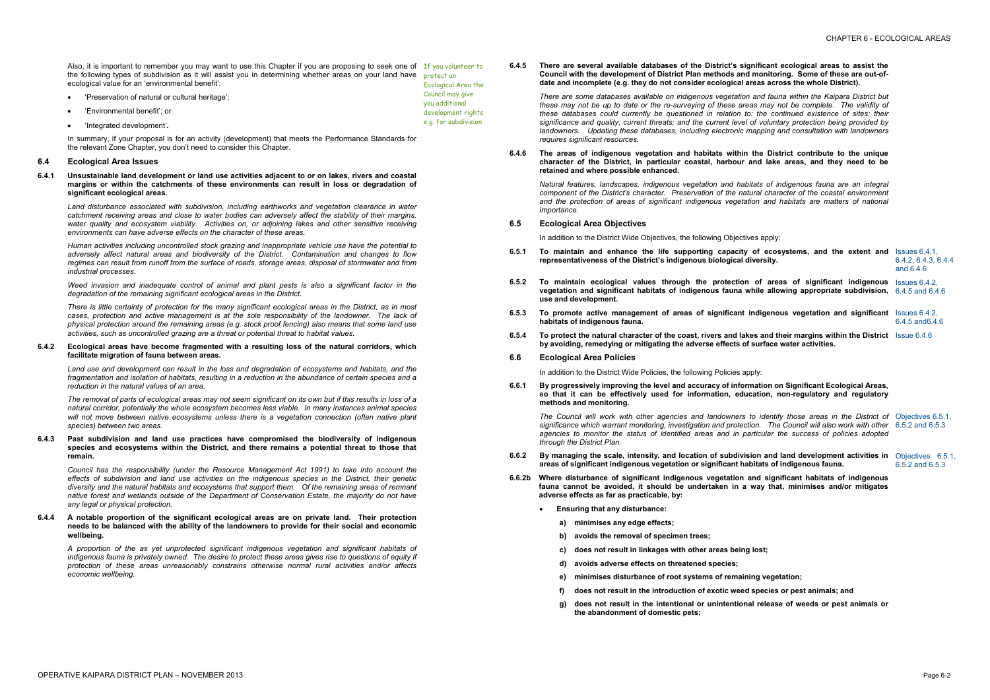Also, it is important to remember you may want to use this Chapter if you are proposing to seek one of If you volunteer to the following types of subdivision as it will assist you in determining whether areas on your land have protect an ecological value for an 'environmental benefit':

In summary, if your proposal is for an activity (development) that meets the Performance Standards for the relevant Zone Chapter, you don't need to consider this Chapter.

- · 'Preservation of natural or cultural heritage';
- · 'Environmental benefit'; or
- · 'Integrated development'*.*

Ecological Area the Council may give you additional development rights e.g. for subdivision

# **6.4 Ecological Area Issues**

### **6.4.1 Unsustainable land development or land use activities adjacent to or on lakes, rivers and coastal margins or within the catchments of these environments can result in loss or degradation of significant ecological areas.**

There is little certainty of protection for the many significant ecological areas in the District, as in most *cases, protection and active management is at the sole responsibility of the landowner. The lack of physical protection around the remaining areas (e.g. stock proof fencing) also means that some land use activities, such as uncontrolled grazing are a threat or potential threat to habitat values.* 

*Land disturbance associated with subdivision, including earthworks and vegetation clearance in water catchment receiving areas and close to water bodies can adversely affect the stability of their margins, water quality and ecosystem viability. Activities on, or adjoining lakes and other sensitive receiving environments can have adverse effects on the character of these areas.* 

The removal of parts of ecological areas may not seem significant on its own but if this results in loss of a *natural corridor, potentially the whole ecosystem becomes less viable. In many instances animal species will not move between native ecosystems unless there is a vegetation connection (often native plant species) between two areas.* 

*Human activities including uncontrolled stock grazing and inappropriate vehicle use have the potential to adversely affect natural areas and biodiversity of the District. Contamination and changes to flow regimes can result from runoff from the surface of roads, storage areas, disposal of stormwater and from industrial processes.* 

*Weed invasion and inadequate control of animal and plant pests is also a significant factor in the degradation of the remaining significant ecological areas in the District.* 

### **6.4.2 Ecological areas have become fragmented with a resulting loss of the natural corridors, which facilitate migration of fauna between areas.**

*Land use and development can result in the loss and degradation of ecosystems and habitats, and the fragmentation and isolation of habitats, resulting in a reduction in the abundance of certain species and a reduction in the natural values of an area.* 

**6.4.3 Past subdivision and land use practices have compromised the biodiversity of indigenous species and ecosystems within the District, and there remains a potential threat to those that remain.** 

*Council has the responsibility (under the Resource Management Act 1991) to take into account the effects of subdivision and land use activities on the indigenous species in the District, their genetic diversity and the natural habitats and ecosystems that support them. Of the remaining areas of remnant native forest and wetlands outside of the Department of Conservation Estate, the majority do not have any legal or physical protection.* 

The Council will work with other agencies and landowners to identify those areas in the District of Objectives 6.5.1, *significance which warrant monitoring, investigation and protection. The Council will also work with other*  6.5.2 and 6.5.3 *agencies to monitor the status of identified areas and in particular the success of policies adopted through the District Plan.* 

# **6.4.4 A notable proportion of the significant ecological areas are on private land. Their protection needs to be balanced with the ability of the landowners to provide for their social and economic wellbeing.**

*A proportion of the as yet unprotected significant indigenous vegetation and significant habitats of indigenous fauna is privately owned. The desire to protect these areas gives rise to questions of equity if protection of these areas unreasonably constrains otherwise normal rural activities and/or affects economic wellbeing.* 

- 6.6.2 By managing the scale, intensity, and location of subdivision and land development activities in Objectives 6.5.1, **areas of significant indigenous vegetation or significant habitats of indigenous fauna.**
- **6.6.2b Where disturbance of significant indigenous vegetation and significant habitats of indigenous fauna cannot be avoided, it should be undertaken in a way that, minimises and/or mitigates adverse effects as far as practicable, by:** 
	- · **Ensuring that any disturbance:**
		- **a) minimises any edge effects;**
		- **b) avoids the removal of specimen trees;**
		- **c) does not result in linkages with other areas being lost;**
		- **d) avoids adverse effects on threatened species;**
		- **e) minimises disturbance of root systems of remaining vegetation;**
		- **f) does not result in the introduction of exotic weed species or pest animals; and**
		- **g) does not result in the intentional or unintentional release of weeds or pest animals or the abandonment of domestic pets;**
- 
- **6.4.5 There are several available databases of the District's significant ecological areas to assist the Council with the development of District Plan methods and monitoring. Some of these are out-ofdate and incomplete (e.g. they do not consider ecological areas across the whole District).**

*There are some databases available on indigenous vegetation and fauna within the Kaipara District but*  these may not be up to date or the re-surveying of these areas may not be complete. The validity of *these databases could currently be questioned in relation to: the continued existence of sites; their significance and quality; current threats; and the current level of voluntary protection being provided by landowners. Updating these databases, including electronic mapping and consultation with landowners requires significant resources.* 

**6.4.6 The areas of indigenous vegetation and habitats within the District contribute to the unique character of the District, in particular coastal, harbour and lake areas, and they need to be retained and where possible enhanced.** 

*Natural features, landscapes, indigenous vegetation and habitats of indigenous fauna are an integral component of the District's character. Preservation of the natural character of the coastal environment and the protection of areas of significant indigenous vegetation and habitats are matters of national importance.* 

# **6.5 Ecological Area Objectives**

In addition to the District Wide Objectives, the following Objectives apply:

- **6.5.1 To maintain and enhance the life supporting capacity of ecosystems, and the extent and**  Issues 6.4.1, **representativeness of the District's indigenous biological diversity.**  6.4.2, 6.4.3, 6.4.4 and 6.4.6
- **6.5.2 To maintain ecological values through the protection of areas of significant indigenous**  Issues 6.4.2, **vegetation and significant habitats of indigenous fauna while allowing appropriate subdivision,**  6.4.5 and 6.4.6 **use and development.**
- **6.5.3 To promote active management of areas of significant indigenous vegetation and significant**  Issues 6.4.2, **habitats of indigenous fauna.**
- 6.5.4 To protect the natural character of the coast, rivers and lakes and their margins within the District Issue 6.4.6 **by avoiding, remedying or mitigating the adverse effects of surface water activities.**
- **6.6 Ecological Area Policies**

6.4.5 and6.4.6

In addition to the District Wide Policies, the following Policies apply:

**6.6.1 By progressively improving the level and accuracy of information on Significant Ecological Areas, so that it can be effectively used for information, education, non-regulatory and regulatory methods and monitoring.** 

6.5.2 and 6.5.3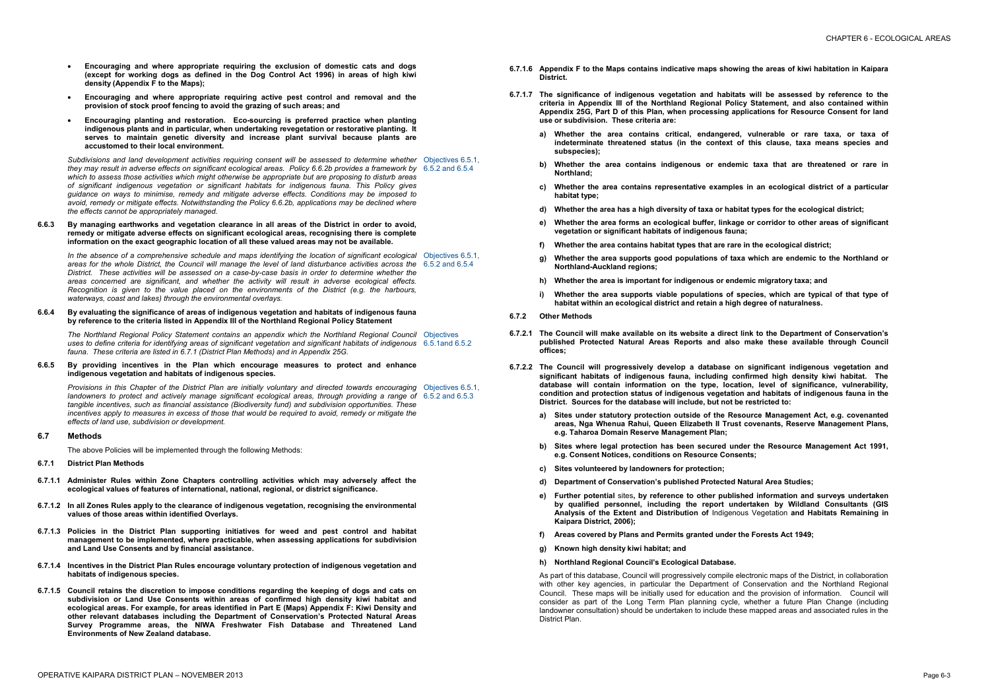- · **Encouraging and where appropriate requiring the exclusion of domestic cats and dogs (except for working dogs as defined in the Dog Control Act 1996) in areas of high kiwi density (Appendix F to the Maps);**
- · **Encouraging and where appropriate requiring active pest control and removal and the provision of stock proof fencing to avoid the grazing of such areas; and**
- · **Encouraging planting and restoration. Eco-sourcing is preferred practice when planting indigenous plants and in particular, when undertaking revegetation or restorative planting. It serves to maintain genetic diversity and increase plant survival because plants are accustomed to their local environment.**

*Subdivisions and land development activities requiring consent will be assessed to determine whether*  Objectives 6.5.1, they may result in adverse effects on significant ecological areas. Policy 6.6.2b provides a framework by 6.5.2 and 6.5.4 *which to assess those activities which might otherwise be appropriate but are proposing to disturb areas of significant indigenous vegetation or significant habitats for indigenous fauna. This Policy gives guidance on ways to minimise, remedy and mitigate adverse effects. Conditions may be imposed to avoid, remedy or mitigate effects. Notwithstanding the Policy 6.6.2b, applications may be declined where the effects cannot be appropriately managed.* 

In the absence of a comprehensive schedule and maps identifying the location of significant ecological Objectives 6.5.1, areas for the whole District, the Council will manage the level of land disturbance activities across the 6.5.2 and 6.5.4 *District. These activities will be assessed on a case-by-case basis in order to determine whether the areas concerned are significant, and whether the activity will result in adverse ecological effects. Recognition is given to the value placed on the environments of the District (e.g. the harbours, waterways, coast and lakes) through the environmental overlays.* 

**6.6.3 By managing earthworks and vegetation clearance in all areas of the District in order to avoid, remedy or mitigate adverse effects on significant ecological areas, recognising there is complete information on the exact geographic location of all these valued areas may not be available.** 

Provisions in this Chapter of the District Plan are initially voluntary and directed towards encouraging Objectives 6.5.1, *landowners to protect and actively manage significant ecological areas, through providing a range of*  6.5.2 and 6.5.3 *tangible incentives, such as financial assistance (Biodiversity fund) and subdivision opportunities. These*  incentives apply to measures in excess of those that would be required to avoid, remedy or mitigate the *effects of land use, subdivision or development.* 

**6.6.4 By evaluating the significance of areas of indigenous vegetation and habitats of indigenous fauna by reference to the criteria listed in Appendix III of the Northland Regional Policy Statement** 

*The Northland Regional Policy Statement contains an appendix which the Northland Regional Council*  Objectives uses to define criteria for identifying areas of significant vegetation and significant habitats of indigenous 6.5.1and 6.5.2 *fauna. These criteria are listed in 6.7.1 (District Plan Methods) and in Appendix 25G.* 

**6.6.5 By providing incentives in the Plan which encourage measures to protect and enhance indigenous vegetation and habitats of indigenous species.** 

# **6.7 Methods**

The above Policies will be implemented through the following Methods:

- **6.7.1 District Plan Methods**
- **6.7.1.1 Administer Rules within Zone Chapters controlling activities which may adversely affect the ecological values of features of international, national, regional, or district significance.**
- **6.7.1.2 In all Zones Rules apply to the clearance of indigenous vegetation, recognising the environmental values of those areas within identified Overlays.**
- **6.7.1.3 Policies in the District Plan supporting initiatives for weed and pest control and habitat management to be implemented, where practicable, when assessing applications for subdivision and Land Use Consents and by financial assistance.**
- **6.7.1.4 Incentives in the District Plan Rules encourage voluntary protection of indigenous vegetation and habitats of indigenous species.**
- **6.7.1.5 Council retains the discretion to impose conditions regarding the keeping of dogs and cats on subdivision or Land Use Consents within areas of confirmed high density kiwi habitat and ecological areas. For example, for areas identified in Part E (Maps) Appendix F: Kiwi Density and other relevant databases including the Department of Conservation's Protected Natural Areas Survey Programme areas, the NIWA Freshwater Fish Database and Threatened Land Environments of New Zealand database.**
- **6.7.1.6 Appendix F to the Maps contains indicative maps showing the areas of kiwi habitation in Kaipara District.**
- **6.7.1.7 The significance of indigenous vegetation and habitats will be assessed by reference to the criteria in Appendix III of the Northland Regional Policy Statement, and also contained within Appendix 25G, Part D of this Plan, when processing applications for Resource Consent for land use or subdivision. These criteria are:** 
	- **a) Whether the area contains critical, endangered, vulnerable or rare taxa, or taxa of indeterminate threatened status (in the context of this clause, taxa means species and subspecies);**
	- **b) Whether the area contains indigenous or endemic taxa that are threatened or rare in Northland;**
	- **c) Whether the area contains representative examples in an ecological district of a particular habitat type;**
	- **d) Whether the area has a high diversity of taxa or habitat types for the ecological district;**
	- **e) Whether the area forms an ecological buffer, linkage or corridor to other areas of significant vegetation or significant habitats of indigenous fauna;**
	- **f) Whether the area contains habitat types that are rare in the ecological district;**
	- **g) Whether the area supports good populations of taxa which are endemic to the Northland or Northland-Auckland regions;**
	- **h) Whether the area is important for indigenous or endemic migratory taxa; and**
	- **i) Whether the area supports viable populations of species, which are typical of that type of habitat within an ecological district and retain a high degree of naturalness.**
- **6.7.2 Other Methods**
- **6.7.2.1 The Council will make available on its website a direct link to the Department of Conservation's published Protected Natural Areas Reports and also make these available through Council offices;**
- **6.7.2.2 The Council will progressively develop a database on significant indigenous vegetation and significant habitats of indigenous fauna, including confirmed high density kiwi habitat. The database will contain information on the type, location, level of significance, vulnerability, condition and protection status of indigenous vegetation and habitats of indigenous fauna in the District. Sources for the database will include, but not be restricted to:** 
	- **a) Sites under statutory protection outside of the Resource Management Act, e.g. covenanted areas, Nga Whenua Rahui, Queen Elizabeth II Trust covenants, Reserve Management Plans, e.g. Taharoa Domain Reserve Management Plan;**
	- **b) Sites where legal protection has been secured under the Resource Management Act 1991, e.g. Consent Notices, conditions on Resource Consents;**
	- **c) Sites volunteered by landowners for protection;**
	- **d) Department of Conservation's published Protected Natural Area Studies;**
	- **e) Further potential** sites**, by reference to other published information and surveys undertaken by qualified personnel, including the report undertaken by Wildland Consultants (GIS Analysis of the Extent and Distribution of** Indigenous Vegetation **and Habitats Remaining in Kaipara District, 2006);**
	- **f) Areas covered by Plans and Permits granted under the Forests Act 1949;**
	- **g) Known high density kiwi habitat; and**
	- **h) Northland Regional Council's Ecological Database.**

As part of this database, Council will progressively compile electronic maps of the District, in collaboration with other key agencies, in particular the Department of Conservation and the Northland Regional Council. These maps will be initially used for education and the provision of information. Council will consider as part of the Long Term Plan planning cycle, whether a future Plan Change (including landowner consultation) should be undertaken to include these mapped areas and associated rules in the District Plan.